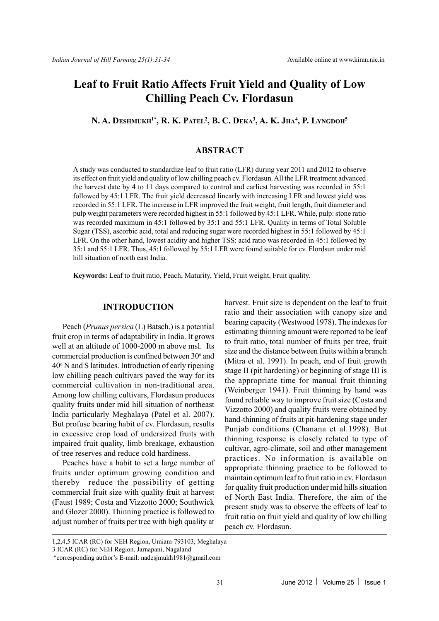# **Leaf to Fruit Ratio Affects Fruit Yield and Quality of Low Chilling Peach Cv. Flordasun**

**N. A. DESHMUKH1\*, R. K. PATEL<sup>2</sup> , B. C. DEKA<sup>3</sup> , A. K. JHA<sup>4</sup> , P. LYNGDOH<sup>5</sup>**

## **ABSTRACT**

A study was conducted to standardize leaf to fruit ratio (LFR) during year 2011 and 2012 to observe its effect on fruit yield and quality of low chilling peach cv. Flordasun. All the LFR treatment advanced the harvest date by 4 to 11 days compared to control and earliest harvesting was recorded in 55:1 followed by 45:1 LFR. The fruit yield decreased linearly with increasing LFR and lowest yield was recorded in 55:1 LFR. The increase in LFR improved the fruit weight, fruit length, fruit diameter and pulp weight parameters were recorded highest in 55:1 followed by 45:1 LFR. While, pulp: stone ratio was recorded maximum in 45:1 followed by 35:1 and 55:1 LFR. Quality in terms of Total Soluble Sugar (TSS), ascorbic acid, total and reducing sugar were recorded highest in 55:1 followed by 45:1 LFR. On the other hand, lowest acidity and higher TSS: acid ratio was recorded in 45:1 followed by 35:1 and 55:1 LFR. Thus, 45:1 followed by 55:1 LFR were found suitable for cv. Flordsun under mid hill situation of north east India.

**Keywords:** Leaf to fruit ratio, Peach, Maturity, Yield, Fruit weight, Fruit quality.

## **INTRODUCTION**

Peach (*Prunus persica* (L) Batsch.) is a potential fruit crop in terms of adaptability in India. It grows well at an altitude of 1000-2000 m above msl. Its commercial production is confined between 30° and 40° N and S latitudes. Introduction of early ripening low chilling peach cultivars paved the way for its commercial cultivation in non-traditional area. Among low chilling cultivars, Flordasun produces quality fruits under mid hill situation of northeast India particularly Meghalaya (Patel et al. 2007). But profuse bearing habit of cv. Flordasun, results in excessive crop load of undersized fruits with impaired fruit quality, limb breakage, exhaustion of tree reserves and reduce cold hardiness.

Peaches have a habit to set a large number of fruits under optimum growing condition and thereby reduce the possibility of getting commercial fruit size with quality fruit at harvest (Faust 1989; Costa and Vizzotto 2000; Southwick and Glozer 2000). Thinning practice is followed to adjust number of fruits per tree with high quality at

harvest. Fruit size is dependent on the leaf to fruit ratio and their association with canopy size and bearing capacity (Westwood 1978). The indexes for estimating thinning amount were reported to be leaf to fruit ratio, total number of fruits per tree, fruit size and the distance between fruits within a branch (Mitra et al. 1991). In peach, end of fruit growth stage II (pit hardening) or beginning of stage III is the appropriate time for manual fruit thinning (Weinberger 1941). Fruit thinning by hand was found reliable way to improve fruit size (Costa and Vizzotto 2000) and quality fruits were obtained by hand-thinning of fruits at pit-hardening stage under Punjab conditions (Chanana et al.1998). But thinning response is closely related to type of cultivar, agro-climate, soil and other management practices. No information is available on appropriate thinning practice to be followed to maintain optimum leaf to fruit ratio in cv. Flordasun for quality fruit production under mid hills situation of North East India. Therefore, the aim of the present study was to observe the effects of leaf to fruit ratio on fruit yield and quality of low chilling peach cv. Flordasun.

<sup>1,2,4,5</sup> ICAR (RC) for NEH Region, Umiam-793103, Meghalaya

<sup>3</sup> ICAR (RC) for NEH Region, Jarnapani, Nagaland

<sup>\*</sup>corresponding author's E-mail: nadesjmukh1981@gmail.com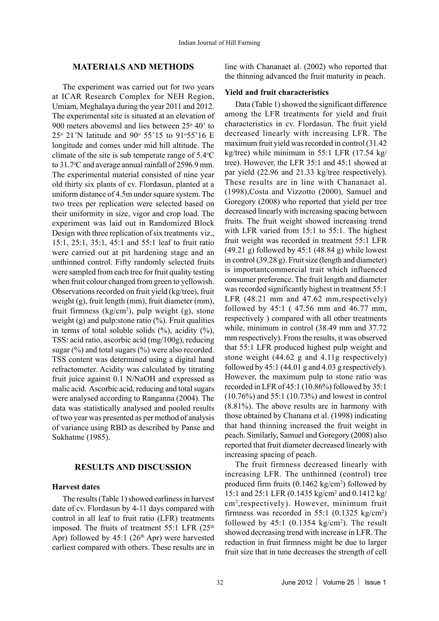## **MATERIALS AND METHODS**

The experiment was carried out for two years at ICAR Research Complex for NEH Region, Umiam, Meghalaya during the year 2011 and 2012. The experimental site is situated at an elevation of 900 meters abovemsl and lies between  $25^{\circ}$  40' to  $25^{\circ}$  21'N latitude and 90 $^{\circ}$  55'15 to 91 $^{\circ}$ 55'16 E longitude and comes under mid hill altitude. The climate of the site is sub temperate range of  $5.4^{\circ}$ C to 31.7°C and average annual rainfall of 2596.9 mm. The experimental material consisted of nine year old thirty six plants of cv. Flordasun, planted at a uniform distance of 4.5m under square system. The two trees per replication were selected based on their uniformity in size, vigor and crop load. The experiment was laid out in Randomized Block Design with three replication of six treatments viz., 15:1, 25:1, 35:1, 45:1 and 55:1 leaf to fruit ratio were carried out at pit hardening stage and an unthinned control. Fifty randomly selected fruits were sampled from each tree for fruit quality testing when fruit colour changed from green to yellowish. Observations recorded on fruit yield (kg/tree), fruit weight (g), fruit length (mm), fruit diameter (mm), fruit firmness  $(kg/cm<sup>2</sup>)$ , pulp weight (g), stone weight (g) and pulp: stone ratio  $(\frac{9}{6})$ . Fruit qualities in terms of total soluble solids  $(\%)$ , acidity  $(\%)$ , TSS: acid ratio, ascorbic acid (mg/100g), reducing sugar  $(\%)$  and total sugars  $(\%)$  were also recorded. TSS content was determined using a digital hand refractometer. Acidity was calculated by titrating fruit juice against 0.1 N/NaOH and expressed as malic acid. Ascorbic acid, reducing and total sugars were analysed according to Ranganna (2004). The data was statistically analysed and pooled results of two year was presented as per method of analysis of variance using RBD as described by Panse and Sukhatme (1985).

## **RESULTS AND DISCUSSION**

#### **Harvest dates**

The results (Table 1) showed earliness in harvest date of cv. Flordasun by 4-11 days compared with control in all leaf to fruit ratio (LFR) treatments imposed. The fruits of treatment  $55:1$  LFR  $(25<sup>th</sup>$ Apr) followed by  $45:1$  ( $26<sup>th</sup>$  Apr) were harvested earliest compared with others. These results are in line with Chananaet al. (2002) who reported that the thinning advanced the fruit maturity in peach.

## **Yield and fruit characteristics**

Data (Table 1) showed the significant difference among the LFR treatments for yield and fruit characteristics in cv. Flordasun. The fruit yield decreased linearly with increasing LFR. The maximum fruit yield was recorded in control (31.42 kg/tree) while minimum in 55:1 LFR (17.54 kg/ tree). However, the LFR 35:1 and 45:1 showed at par yield (22.96 and 21.33 kg/tree respectively). These results are in line with Chananaet al. (1998),Costa and Vizzotto (2000), Samuel and Goregory (2008) who reported that yield per tree decreased linearly with increasing spacing between fruits. The fruit weight showed increasing trend with LFR varied from 15:1 to 55:1. The highest fruit weight was recorded in treatment 55:1 LFR  $(49.21 \text{ g})$  followed by  $45:1$   $(48.84 \text{ g})$  while lowest in control (39.28 g). Fruit size (length and diameter) is importantcommercial trait which influenced consumer preference. The fruit length and diameter was recorded significantly highest in treatment 55:1 LFR (48.21 mm and 47.62 mm,respectively) followed by 45:1 ( 47.56 mm and 46.77 mm, respectively ) compared with all other treatments while, minimum in control (38.49 mm and 37.72 mm respectively). From the results, it was observed that 55:1 LFR produced highest pulp weight and stone weight (44.62 g and 4.11g respectively) followed by  $45:1$  (44.01 g and 4.03 g respectively). However, the maximum pulp to stone ratio was recorded in LFR of 45:1 (10.86%) followed by 35:1 (10.76%) and 55:1 (10.73%) and lowest in control (8.81%). The above results are in harmony with those obtained by Chanana et al. (1998) indicating that hand thinning increased the fruit weight in peach. Similarly, Samuel and Goregory (2008) also reported that fruit diameter decreased linearly with increasing spacing of peach.

The fruit firmness decreased linearly with increasing LFR. The unthinned (control) tree produced firm fruits (0.1462 kg/cm<sup>2</sup>) followed by 15:1 and 25:1 LFR (0.1435 kg/cm<sup>2</sup> and 0.1412 kg/ cm<sup>2</sup> ,respectively). However, minimum fruit firmness was recorded in 55:1  $(0.1325 \text{ kg/cm}^2)$ followed by  $45:1$  (0.1354 kg/cm<sup>2</sup>). The result showed decreasing trend with increase in LFR. The reduction in fruit firmness might be due to larger fruit size that in tune decreases the strength of cell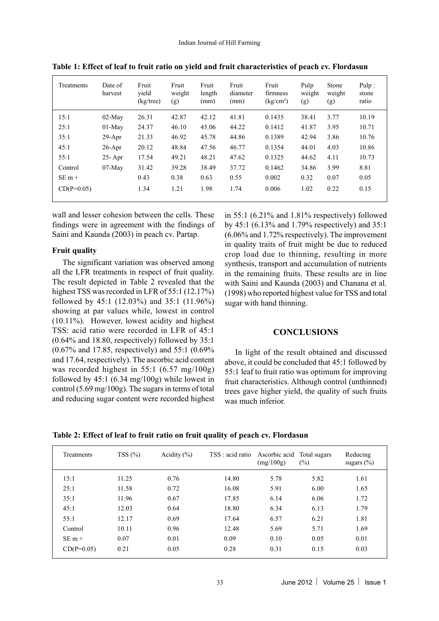| Treatments   | Date of<br>harvest | Fruit<br>vield<br>$(kg$ /tree) | Fruit<br>weight<br>(g) | Fruit<br>length<br>(mm) | Fruit<br>diameter<br>(mm) | Fruit<br>firmness<br>(kg/cm <sup>2</sup> ) | Pulp<br>weight<br>(g) | Stone<br>weight<br>(g) | Pulp:<br>stone<br>ratio |
|--------------|--------------------|--------------------------------|------------------------|-------------------------|---------------------------|--------------------------------------------|-----------------------|------------------------|-------------------------|
| 15:1         | $02-Mav$           | 26.31                          | 42.87                  | 42.12                   | 41.81                     | 0.1435                                     | 38.41                 | 3.77                   | 10.19                   |
| 25:1         | $01-Mav$           | 24.37                          | 46.10                  | 45.06                   | 44.22                     | 0.1412                                     | 41.87                 | 3.95                   | 10.71                   |
| 35:1         | $29-Apr$           | 21.33                          | 46.92                  | 45.78                   | 44.86                     | 0.1389                                     | 42.94                 | 3.86                   | 10.76                   |
| 45:1         | $26$ -Apr          | 20.12                          | 48.84                  | 47.56                   | 46.77                     | 0.1354                                     | 44.01                 | 4.03                   | 10.86                   |
| 55:1         | $25 - Apr$         | 17.54                          | 49.21                  | 48.21                   | 47.62                     | 0.1325                                     | 44.62                 | 4.11                   | 10.73                   |
| Control      | $07-Mav$           | 31.42                          | 39.28                  | 38.49                   | 37.72                     | 0.1462                                     | 34.86                 | 3.99                   | 8.81                    |
| $SE m +$     |                    | 0.43                           | 0.38                   | 0.63                    | 0.55                      | 0.002                                      | 0.32                  | 0.07                   | 0.05                    |
| $CD(P=0.05)$ |                    | 1.34                           | 1.21                   | 1.98                    | 1.74                      | 0.006                                      | 1.02                  | 0.22                   | 0.15                    |

**Table 1: Effect of leaf to fruit ratio on yield and fruit characteristics of peach cv. Flordasun**

wall and lesser cohesion between the cells. These findings were in agreement with the findings of Saini and Kaunda (2003) in peach cv. Partap.

## **Fruit quality**

The significant variation was observed among all the LFR treatments in respect of fruit quality. The result depicted in Table 2 revealed that the highest TSS was recorded in LFR of 55:1 (12.17%) followed by 45:1 (12.03%) and 35:1 (11.96%) showing at par values while, lowest in control (10.11%). However, lowest acidity and highest TSS: acid ratio were recorded in LFR of 45:1 (0.64% and 18.80, respectively) followed by 35:1 (0.67% and 17.85, respectively) and 55:1 (0.69% and 17.64, respectively). The ascorbic acid content was recorded highest in 55:1 (6.57 mg/100g) followed by 45:1 (6.34 mg/100g) while lowest in control (5.69 mg/100g). The sugars in terms of total and reducing sugar content were recorded highest in 55:1 (6.21% and 1.81% respectively) followed by 45:1 (6.13% and 1.79% respectively) and 35:1 (6.06% and 1.72% respectively). The improvement in quality traits of fruit might be due to reduced crop load due to thinning, resulting in more synthesis, transport and accumulation of nutrients in the remaining fruits. These results are in line with Saini and Kaunda (2003) and Chanana et al. (1998) who reported highest value for TSS and total sugar with hand thinning.

## **CONCLUSIONS**

In light of the result obtained and discussed above, it could be concluded that 45:1 followed by 55:1 leaf to fruit ratio was optimum for improving fruit characteristics. Although control (unthinned) trees gave higher yield, the quality of such fruits was much inferior.

**Table 2: Effect of leaf to fruit ratio on fruit quality of peach cv. Flordasun**

| <b>Treatments</b> | TSS(%) | Acidity $(\% )$ | TSS : acid ratio Ascorbic acid | (mg/100g) | Total sugars<br>$(\%)$ | Reducing<br>sugars $(\% )$ |
|-------------------|--------|-----------------|--------------------------------|-----------|------------------------|----------------------------|
| 15:1              | 11.25  | 0.76            | 14.80                          | 5.78      | 5.82                   | 1.61                       |
| 25:1              | 11.58  | 0.72            | 16.08                          | 5.91      | 6.00                   | 1.65                       |
| 35:1              | 11.96  | 0.67            | 17.85                          | 6.14      | 6.06                   | 1.72                       |
| 45:1              | 12.03  | 0.64            | 18.80                          | 6.34      | 6.13                   | 1.79                       |
| 55:1              | 12.17  | 0.69            | 17.64                          | 6.57      | 6.21                   | 1.81                       |
| Control           | 10.11  | 0.96            | 12.48                          | 5.69      | 5.71                   | 1.69                       |
| $SE_{m+}$         | 0.07   | 0.01            | 0.09                           | 0.10      | 0.05                   | 0.01                       |
| $CD(P=0.05)$      | 0.21   | 0.05            | 0.28                           | 0.31      | 0.15                   | 0.03                       |